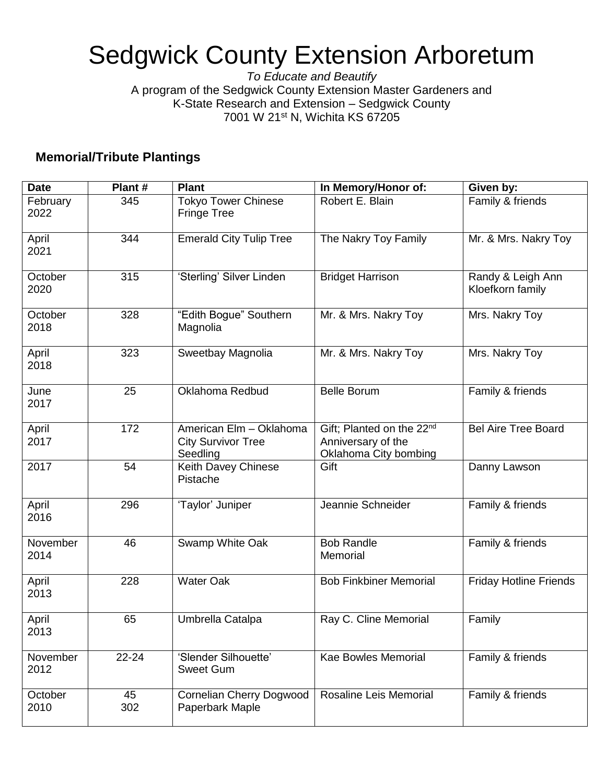## Sedgwick County Extension Arboretum

*To Educate and Beautify* A program of the Sedgwick County Extension Master Gardeners and K-State Research and Extension – Sedgwick County 7001 W 21<sup>st</sup> N, Wichita KS 67205

## **Memorial/Tribute Plantings**

| <b>Date</b>      | Plant#    | <b>Plant</b>                                                     | In Memory/Honor of:                                                                  | Given by:                             |
|------------------|-----------|------------------------------------------------------------------|--------------------------------------------------------------------------------------|---------------------------------------|
| February<br>2022 | 345       | <b>Tokyo Tower Chinese</b><br><b>Fringe Tree</b>                 | Robert E. Blain                                                                      | Family & friends                      |
| April<br>2021    | 344       | <b>Emerald City Tulip Tree</b>                                   | The Nakry Toy Family                                                                 | Mr. & Mrs. Nakry Toy                  |
| October<br>2020  | 315       | 'Sterling' Silver Linden                                         | <b>Bridget Harrison</b>                                                              | Randy & Leigh Ann<br>Kloefkorn family |
| October<br>2018  | 328       | "Edith Bogue" Southern<br>Magnolia                               | Mr. & Mrs. Nakry Toy                                                                 | Mrs. Nakry Toy                        |
| April<br>2018    | 323       | Sweetbay Magnolia                                                | Mr. & Mrs. Nakry Toy                                                                 | Mrs. Nakry Toy                        |
| June<br>2017     | 25        | Oklahoma Redbud                                                  | <b>Belle Borum</b>                                                                   | Family & friends                      |
| April<br>2017    | 172       | American Elm - Oklahoma<br><b>City Survivor Tree</b><br>Seedling | Gift; Planted on the 22 <sup>nd</sup><br>Anniversary of the<br>Oklahoma City bombing | <b>Bel Aire Tree Board</b>            |
| 2017             | 54        | Keith Davey Chinese<br>Pistache                                  | Gift                                                                                 | Danny Lawson                          |
| April<br>2016    | 296       | 'Taylor' Juniper                                                 | Jeannie Schneider                                                                    | Family & friends                      |
| November<br>2014 | 46        | Swamp White Oak                                                  | <b>Bob Randle</b><br>Memorial                                                        | Family & friends                      |
| April<br>2013    | 228       | <b>Water Oak</b>                                                 | <b>Bob Finkbiner Memorial</b>                                                        | <b>Friday Hotline Friends</b>         |
| April<br>2013    | 65        | Umbrella Catalpa                                                 | Ray C. Cline Memorial                                                                | Family                                |
| November<br>2012 | 22-24     | 'Slender Silhouette'<br><b>Sweet Gum</b>                         | <b>Kae Bowles Memorial</b>                                                           | Family & friends                      |
| October<br>2010  | 45<br>302 | <b>Cornelian Cherry Dogwood</b><br>Paperbark Maple               | Rosaline Leis Memorial                                                               | Family & friends                      |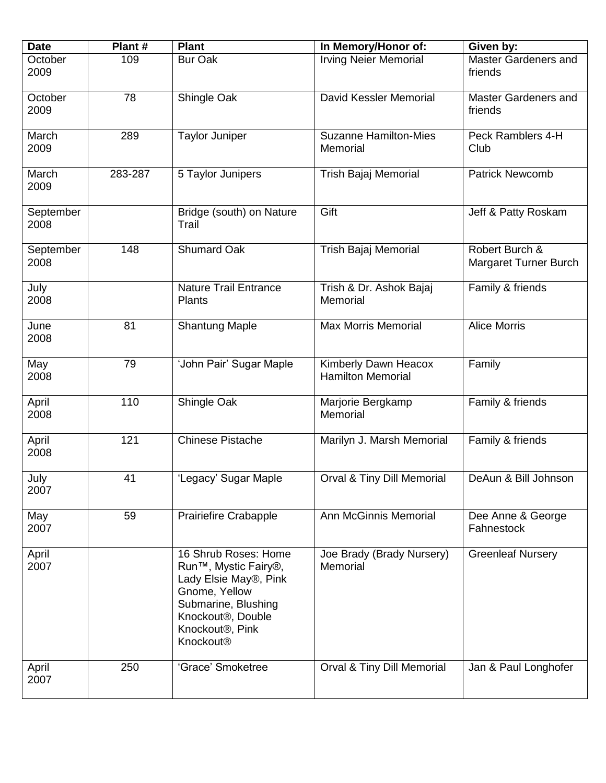| <b>Date</b>       | Plant#  | <b>Plant</b>                                                                                                                                                                                                                       | In Memory/Honor of:                              | Given by:                               |
|-------------------|---------|------------------------------------------------------------------------------------------------------------------------------------------------------------------------------------------------------------------------------------|--------------------------------------------------|-----------------------------------------|
| October<br>2009   | 109     | <b>Bur Oak</b>                                                                                                                                                                                                                     | <b>Irving Neier Memorial</b>                     | Master Gardeners and<br>friends         |
| October<br>2009   | 78      | Shingle Oak                                                                                                                                                                                                                        | David Kessler Memorial                           | Master Gardeners and<br>friends         |
| March<br>2009     | 289     | <b>Taylor Juniper</b>                                                                                                                                                                                                              | <b>Suzanne Hamilton-Mies</b><br>Memorial         | Peck Ramblers 4-H<br>Club               |
| March<br>2009     | 283-287 | 5 Taylor Junipers                                                                                                                                                                                                                  | Trish Bajaj Memorial                             | <b>Patrick Newcomb</b>                  |
| September<br>2008 |         | Bridge (south) on Nature<br>Trail                                                                                                                                                                                                  | Gift                                             | Jeff & Patty Roskam                     |
| September<br>2008 | 148     | <b>Shumard Oak</b>                                                                                                                                                                                                                 | <b>Trish Bajaj Memorial</b>                      | Robert Burch &<br>Margaret Turner Burch |
| July<br>2008      |         | <b>Nature Trail Entrance</b><br><b>Plants</b>                                                                                                                                                                                      | Trish & Dr. Ashok Bajaj<br>Memorial              | Family & friends                        |
| June<br>2008      | 81      | <b>Shantung Maple</b>                                                                                                                                                                                                              | <b>Max Morris Memorial</b>                       | <b>Alice Morris</b>                     |
| May<br>2008       | 79      | 'John Pair' Sugar Maple                                                                                                                                                                                                            | Kimberly Dawn Heacox<br><b>Hamilton Memorial</b> | Family                                  |
| April<br>2008     | 110     | Shingle Oak                                                                                                                                                                                                                        | Marjorie Bergkamp<br>Memorial                    | Family & friends                        |
| April<br>2008     | 121     | <b>Chinese Pistache</b>                                                                                                                                                                                                            | Marilyn J. Marsh Memorial                        | Family & friends                        |
| July<br>2007      | 41      | 'Legacy' Sugar Maple                                                                                                                                                                                                               | Orval & Tiny Dill Memorial                       | DeAun & Bill Johnson                    |
| May<br>2007       | 59      | <b>Prairiefire Crabapple</b>                                                                                                                                                                                                       | <b>Ann McGinnis Memorial</b>                     | Dee Anne & George<br>Fahnestock         |
| April<br>2007     |         | 16 Shrub Roses: Home<br>Run <sup>™</sup> , Mystic Fairy <sup>®</sup> ,<br>Lady Elsie May®, Pink<br>Gnome, Yellow<br>Submarine, Blushing<br>Knockout <sup>®</sup> , Double<br>Knockout <sup>®</sup> , Pink<br>Knockout <sup>®</sup> | Joe Brady (Brady Nursery)<br>Memorial            | <b>Greenleaf Nursery</b>                |
| April<br>2007     | 250     | 'Grace' Smoketree                                                                                                                                                                                                                  | Orval & Tiny Dill Memorial                       | Jan & Paul Longhofer                    |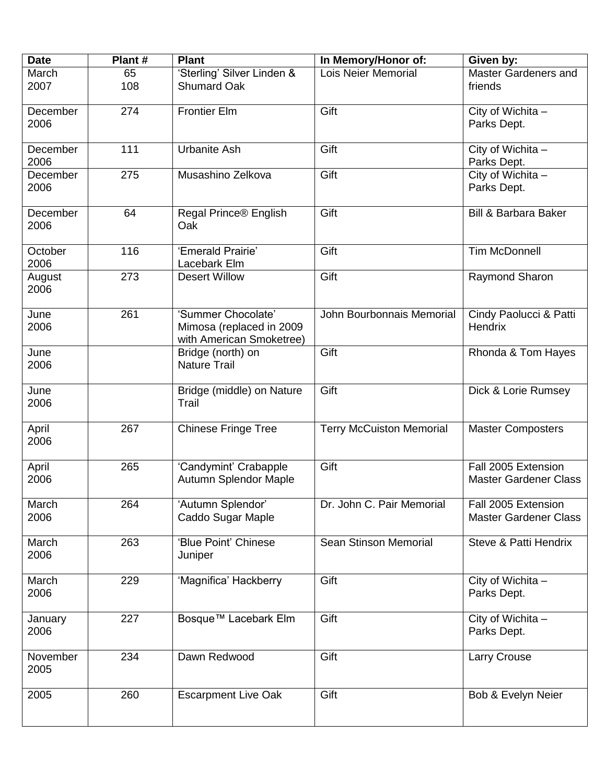| <b>Date</b>      | Plant#    | <b>Plant</b>                                                               | In Memory/Honor of:             | Given by:                                           |
|------------------|-----------|----------------------------------------------------------------------------|---------------------------------|-----------------------------------------------------|
| March<br>2007    | 65<br>108 | 'Sterling' Silver Linden &<br><b>Shumard Oak</b>                           | <b>Lois Neier Memorial</b>      | Master Gardeners and<br>friends                     |
| December<br>2006 | 274       | <b>Frontier Elm</b>                                                        | Gift                            | City of Wichita -<br>Parks Dept.                    |
| December<br>2006 | 111       | <b>Urbanite Ash</b>                                                        | Gift                            | City of Wichita -<br>Parks Dept.                    |
| December<br>2006 | 275       | Musashino Zelkova                                                          | Gift                            | City of Wichita -<br>Parks Dept.                    |
| December<br>2006 | 64        | Regal Prince® English<br>Oak                                               | Gift                            | <b>Bill &amp; Barbara Baker</b>                     |
| October<br>2006  | 116       | 'Emerald Prairie'<br>Lacebark Elm                                          | Gift                            | <b>Tim McDonnell</b>                                |
| August<br>2006   | 273       | <b>Desert Willow</b>                                                       | Gift                            | Raymond Sharon                                      |
| June<br>2006     | 261       | 'Summer Chocolate'<br>Mimosa (replaced in 2009<br>with American Smoketree) | John Bourbonnais Memorial       | Cindy Paolucci & Patti<br>Hendrix                   |
| June<br>2006     |           | Bridge (north) on<br><b>Nature Trail</b>                                   | Gift                            | Rhonda & Tom Hayes                                  |
| June<br>2006     |           | Bridge (middle) on Nature<br>Trail                                         | Gift                            | Dick & Lorie Rumsey                                 |
| April<br>2006    | 267       | <b>Chinese Fringe Tree</b>                                                 | <b>Terry McCuiston Memorial</b> | <b>Master Composters</b>                            |
| April<br>2006    | 265       | 'Candymint' Crabapple<br>Autumn Splendor Maple                             | Gift                            | Fall 2005 Extension<br><b>Master Gardener Class</b> |
| March<br>2006    | 264       | 'Autumn Splendor'<br>Caddo Sugar Maple                                     | Dr. John C. Pair Memorial       | Fall 2005 Extension<br><b>Master Gardener Class</b> |
| March<br>2006    | 263       | 'Blue Point' Chinese<br>Juniper                                            | Sean Stinson Memorial           | Steve & Patti Hendrix                               |
| March<br>2006    | 229       | 'Magnifica' Hackberry                                                      | Gift                            | City of Wichita -<br>Parks Dept.                    |
| January<br>2006  | 227       | Bosque™ Lacebark Elm                                                       | Gift                            | City of Wichita -<br>Parks Dept.                    |
| November<br>2005 | 234       | Dawn Redwood                                                               | Gift                            | Larry Crouse                                        |
| 2005             | 260       | <b>Escarpment Live Oak</b>                                                 | Gift                            | Bob & Evelyn Neier                                  |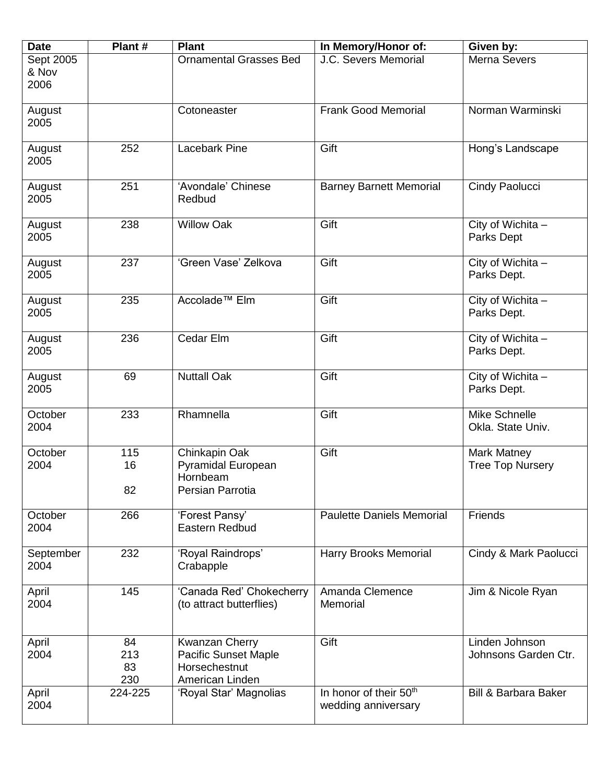| <b>Date</b>     | Plant#    | <b>Plant</b>                               | In Memory/Honor of:                                       | Given by:                       |
|-----------------|-----------|--------------------------------------------|-----------------------------------------------------------|---------------------------------|
| Sept 2005       |           | <b>Ornamental Grasses Bed</b>              | J.C. Severs Memorial                                      | Merna Severs                    |
| & Nov           |           |                                            |                                                           |                                 |
| 2006            |           |                                            |                                                           |                                 |
| August          |           | Cotoneaster                                | <b>Frank Good Memorial</b>                                | Norman Warminski                |
| 2005            |           |                                            |                                                           |                                 |
|                 |           |                                            |                                                           |                                 |
| August          | 252       | <b>Lacebark Pine</b>                       | Gift                                                      | Hong's Landscape                |
| 2005            |           |                                            |                                                           |                                 |
|                 |           |                                            |                                                           |                                 |
| August          | 251       | 'Avondale' Chinese                         | <b>Barney Barnett Memorial</b>                            | Cindy Paolucci                  |
| 2005            |           | Redbud                                     |                                                           |                                 |
| August          | 238       | <b>Willow Oak</b>                          | Gift                                                      | City of Wichita -               |
| 2005            |           |                                            |                                                           | Parks Dept                      |
|                 |           |                                            |                                                           |                                 |
| August          | 237       | 'Green Vase' Zelkova                       | Gift                                                      | City of Wichita -               |
| 2005            |           |                                            |                                                           | Parks Dept.                     |
|                 |           |                                            |                                                           |                                 |
| August          | 235       | Accolade <sup>™</sup> Elm                  | Gift                                                      | City of Wichita -               |
| 2005            |           |                                            |                                                           | Parks Dept.                     |
|                 |           |                                            |                                                           |                                 |
| August<br>2005  | 236       | Cedar Elm                                  | Gift                                                      | City of Wichita -               |
|                 |           |                                            |                                                           | Parks Dept.                     |
| August          | 69        | <b>Nuttall Oak</b>                         | Gift                                                      | City of Wichita -               |
| 2005            |           |                                            |                                                           | Parks Dept.                     |
|                 |           |                                            |                                                           |                                 |
| October         | 233       | Rhamnella                                  | Gift                                                      | Mike Schnelle                   |
| 2004            |           |                                            |                                                           | Okla. State Univ.               |
|                 |           |                                            |                                                           |                                 |
| October<br>2004 | 115<br>16 | Chinkapin Oak<br><b>Pyramidal European</b> | Gift                                                      | Mark Matney                     |
|                 |           | Hornbeam                                   |                                                           | <b>Tree Top Nursery</b>         |
|                 | 82        | Persian Parrotia                           |                                                           |                                 |
|                 |           |                                            |                                                           |                                 |
| October         | 266       | 'Forest Pansy'                             | <b>Paulette Daniels Memorial</b>                          | Friends                         |
| 2004            |           | Eastern Redbud                             |                                                           |                                 |
|                 |           |                                            |                                                           |                                 |
| September       | 232       | 'Royal Raindrops'                          | Harry Brooks Memorial                                     | Cindy & Mark Paolucci           |
| 2004            |           | Crabapple                                  |                                                           |                                 |
| April           | 145       | 'Canada Red' Chokecherry                   | Amanda Clemence                                           | Jim & Nicole Ryan               |
| 2004            |           | (to attract butterflies)                   | Memorial                                                  |                                 |
|                 |           |                                            |                                                           |                                 |
|                 |           |                                            |                                                           |                                 |
| April           | 84        | Kwanzan Cherry                             | Gift                                                      | Linden Johnson                  |
| 2004            | 213       | <b>Pacific Sunset Maple</b>                |                                                           | Johnsons Garden Ctr.            |
|                 | 83        | Horsechestnut                              |                                                           |                                 |
|                 | 230       | American Linden                            |                                                           |                                 |
| April<br>2004   | 224-225   | 'Royal Star' Magnolias                     | In honor of their 50 <sup>th</sup><br>wedding anniversary | <b>Bill &amp; Barbara Baker</b> |
|                 |           |                                            |                                                           |                                 |